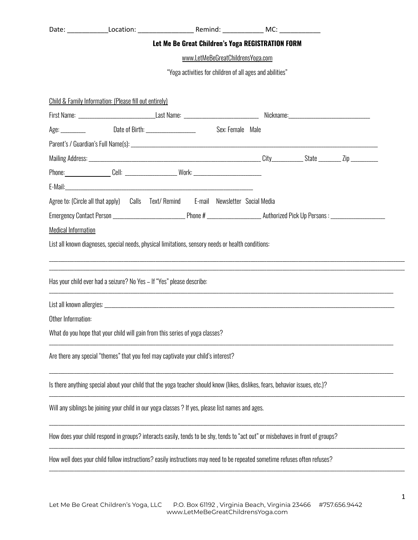|                                                          |  |                                                                                                                                |  | Let Me Be Great Children's Yoga REGISTRATION FORM |  |  |  |  |  |
|----------------------------------------------------------|--|--------------------------------------------------------------------------------------------------------------------------------|--|---------------------------------------------------|--|--|--|--|--|
| www.LetMeBeGreatChildrensYoga.com                        |  |                                                                                                                                |  |                                                   |  |  |  |  |  |
| "Yoga activities for children of all ages and abilities" |  |                                                                                                                                |  |                                                   |  |  |  |  |  |
| Child & Family Information: (Please fill out entirely)   |  |                                                                                                                                |  |                                                   |  |  |  |  |  |
|                                                          |  |                                                                                                                                |  |                                                   |  |  |  |  |  |
|                                                          |  | Age: ___________ Date of Birth: __________________ Sex: Female Male                                                            |  |                                                   |  |  |  |  |  |
|                                                          |  |                                                                                                                                |  |                                                   |  |  |  |  |  |
|                                                          |  |                                                                                                                                |  |                                                   |  |  |  |  |  |
|                                                          |  | Phone:_________________Cell: ________________________Work: ______________________                                              |  |                                                   |  |  |  |  |  |
|                                                          |  |                                                                                                                                |  |                                                   |  |  |  |  |  |
|                                                          |  | Agree to: (Circle all that apply) Calls Text/ Remind E-mail Newsletter Social Media                                            |  |                                                   |  |  |  |  |  |
|                                                          |  |                                                                                                                                |  |                                                   |  |  |  |  |  |
| <b>Medical Information</b>                               |  |                                                                                                                                |  |                                                   |  |  |  |  |  |
|                                                          |  | List all known diagnoses, special needs, physical limitations, sensory needs or health conditions:                             |  |                                                   |  |  |  |  |  |
|                                                          |  |                                                                                                                                |  |                                                   |  |  |  |  |  |
|                                                          |  | Has your child ever had a seizure? No Yes - If "Yes" please describe:                                                          |  |                                                   |  |  |  |  |  |
|                                                          |  |                                                                                                                                |  |                                                   |  |  |  |  |  |
| Other Information:                                       |  |                                                                                                                                |  |                                                   |  |  |  |  |  |
|                                                          |  | What do you hope that your child will gain from this series of yoga classes?                                                   |  |                                                   |  |  |  |  |  |
|                                                          |  | Are there any special "themes" that you feel may captivate your child's interest?                                              |  |                                                   |  |  |  |  |  |
|                                                          |  | Is there anything special about your child that the yoga teacher should know (likes, dislikes, fears, behavior issues, etc.)?  |  |                                                   |  |  |  |  |  |
|                                                          |  | Will any siblings be joining your child in our yoga classes? If yes, please list names and ages.                               |  |                                                   |  |  |  |  |  |
|                                                          |  | How does your child respond in groups? interacts easily, tends to be shy, tends to "act out" or misbehaves in front of groups? |  |                                                   |  |  |  |  |  |
|                                                          |  | How well does your child follow instructions? easily instructions may need to be repeated sometime refuses often refuses?      |  |                                                   |  |  |  |  |  |
|                                                          |  |                                                                                                                                |  |                                                   |  |  |  |  |  |